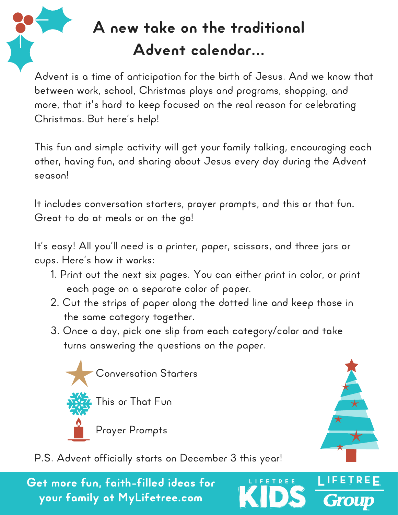

## A new take on the traditional Advent calendar…

Advent is a time of anticipation for the birth of Jesus. And we know that between work, school, Christmas plays and programs, shopping, and more, that it's hard to keep focused on the real reason for celebrating Christmas. But here's help!

This fun and simple activity will get your family talking, encouraging each other, having fun, and sharing about Jesus every day during the Advent season!

It includes conversation starters, prayer prompts, and this or that fun. Great to do at meals or on the go!

It's easy! All you'll need is a printer, paper, scissors, and three jars or cups. Here's how it works:

- 1. Print out the next six pages. You can either print in color, or print each page on a separate color of paper.
- 2. Cut the strips of paper along the dotted line and keep those in the same category together.
- 3. Once a day, pick one slip from each category/color and take turns answering the questions on the paper.

FETREE



P.S. Advent officially starts on December 3 this year!

Get more fun, faith-filled ideas for your family at MyLifetree.com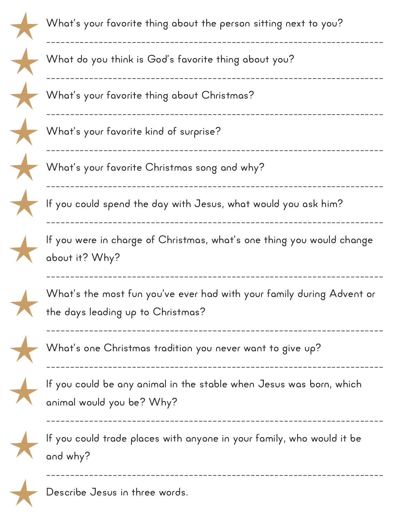

Describe Jesus in three words.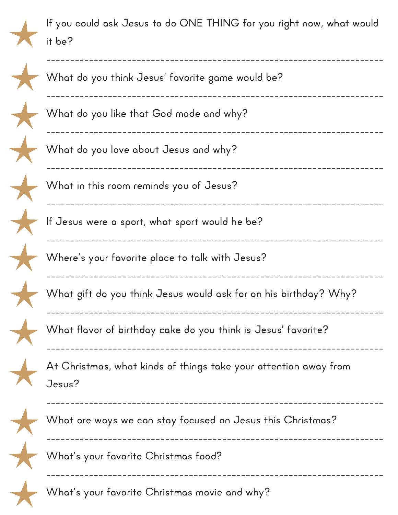

If you could ask Jesus to do ONE THING for you right now, what would it be?

| What do you think Jesus' favorite game would be?                           |  |
|----------------------------------------------------------------------------|--|
| What do you like that God made and why?                                    |  |
| What do you love about Jesus and why?                                      |  |
| What in this room reminds you of Jesus?                                    |  |
| If Jesus were a sport, what sport would he be?                             |  |
| Where's your favorite place to talk with Jesus?                            |  |
| What gift do you think Jesus would ask for on his birthday? Why?           |  |
| What flavor of birthday cake do you think is Jesus' favorite?              |  |
| At Christmas, what kinds of things take your attention away from<br>Jesus? |  |
| What are ways we can stay focused on Jesus this Christmas?                 |  |
| What's your favorite Christmas food?                                       |  |
| What's your favorite Christmas movie and why?                              |  |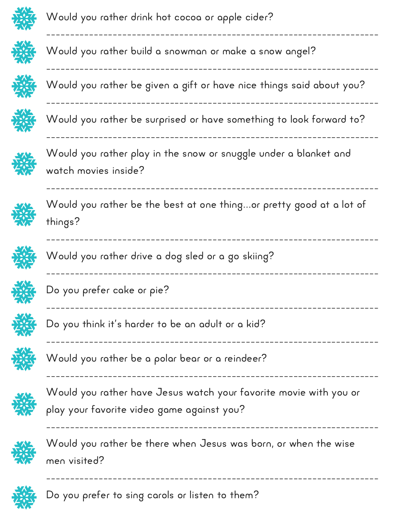

Would you rather drink hot cocoa or apple cider?



Would you rather build a snowman or make a snow angel?



Would you rather be given a gift or have nice things said about you?

----------------------------------------------------------------------

----------------------------------------------------------------------

----------------------------------------------------------------------



Would you rather be surprised or have something to look forward to?

----------------------------------------------------------------------

----------------------------------------------------------------------



Would you rather play in the snow or snuggle under a blanket and watch movies inside?



Would you rather be the best at one thing…or pretty good at a lot of things?

----------------------------------------------------------------------

----------------------------------------------------------------------

----------------------------------------------------------------------

----------------------------------------------------------------------

----------------------------------------------------------------------

----------------------------------------------------------------------



Would you rather drive a dog sled or a go skiing?



Do you prefer cake or pie?



Do you think it's harder to be an adult or a kid?



Would you rather be a polar bear or a reindeer?



Would you rather have Jesus watch your favorite movie with you or play your favorite video game against you?



Would you rather be there when Jesus was born, or when the wise men visited?

----------------------------------------------------------------------



Do you prefer to sing carols or listen to them?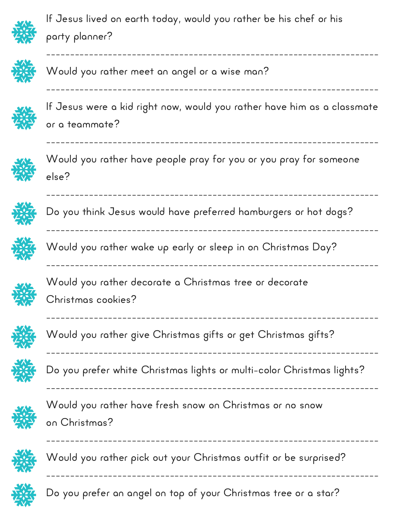

If Jesus lived on earth today, would you rather be his chef or his party planner?



Would you rather meet an angel or a wise man?



If Jesus were a kid right now, would you rather have him as a classmate or a teammate?

----------------------------------------------------------------------

----------------------------------------------------------------------



Would you rather have people pray for you or you pray for someone else?

----------------------------------------------------------------------



Do you think Jesus would have preferred hamburgers or hot dogs?

----------------------------------------------------------------------



Would you rather wake up early or sleep in on Christmas Day?

----------------------------------------------------------------------

----------------------------------------------------------------------

----------------------------------------------------------------------

----------------------------------------------------------------------

----------------------------------------------------------------------



Would you rather decorate a Christmas tree or decorate Christmas cookies?



Would you rather give Christmas gifts or get Christmas gifts? ----------------------------------------------------------------------



Do you prefer white Christmas lights or multi-color Christmas lights?



Would you rather have fresh snow on Christmas or no snow on Christmas?



Would you rather pick out your Christmas outfit or be surprised?

----------------------------------------------------------------------



Do you prefer an angel on top of your Christmas tree or a star?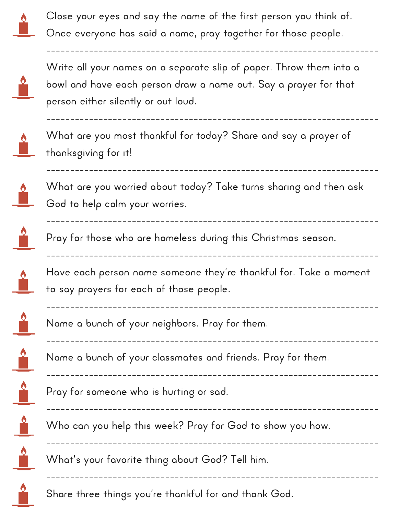

Close your eyes and say the name of the first person you think of. Once everyone has said a name, pray together for those people.

----------------------------------------------------------------------



----------------------------------------------------------------------

----------------------------------------------------------------------

----------------------------------------------------------------------

![](_page_5_Picture_4.jpeg)

What are you most thankful for today? Share and say a prayer of thanksgiving for it!

![](_page_5_Picture_6.jpeg)

What are you worried about today? Take turns sharing and then ask God to help calm your worries.

![](_page_5_Picture_8.jpeg)

Pray for those who are homeless during this Christmas season.

![](_page_5_Picture_10.jpeg)

![](_page_5_Picture_11.jpeg)

Have each person name someone they're thankful for. Take a moment to say prayers for each of those people.

----------------------------------------------------------------------

----------------------------------------------------------------------

----------------------------------------------------------------------

----------------------------------------------------------------------

----------------------------------------------------------------------

----------------------------------------------------------------------

![](_page_5_Picture_13.jpeg)

![](_page_5_Picture_14.jpeg)

![](_page_5_Picture_15.jpeg)

![](_page_5_Picture_16.jpeg)

![](_page_5_Picture_17.jpeg)

Pray for someone who is hurting or sad.

![](_page_5_Picture_19.jpeg)

Who can you help this week? Pray for God to show you how.

Name a bunch of your classmates and friends. Pray for them.

![](_page_5_Picture_21.jpeg)

Name a bunch of your neighbors. Pray for them.

Share three things you're thankful for and thank God.